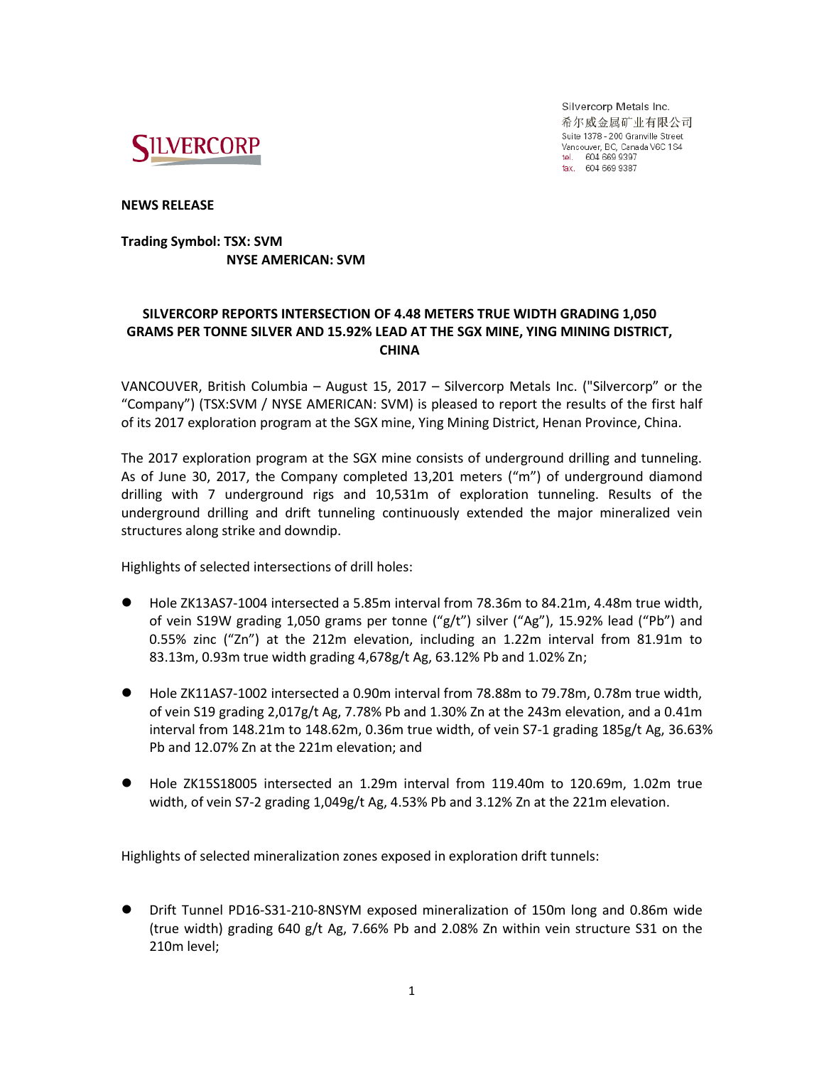

Silvercorp Metals Inc. 希尔威金属矿业有限公司 Suite 1378 - 200 Granville Street Vancouver, BC, Canada V6C 1S4 tel. 604 669 9397<br>fax. 604 669 9397

**NEWS RELEASE**

## **Trading Symbol: TSX: SVM NYSE AMERICAN: SVM**

## **SILVERCORP REPORTS INTERSECTION OF 4.48 METERS TRUE WIDTH GRADING 1,050 GRAMS PER TONNE SILVER AND 15.92% LEAD AT THE SGX MINE, YING MINING DISTRICT, CHINA**

VANCOUVER, British Columbia – August 15, 2017 – Silvercorp Metals Inc. ("Silvercorp" or the "Company") (TSX:SVM / NYSE AMERICAN: SVM) is pleased to report the results of the first half of its 2017 exploration program at the SGX mine, Ying Mining District, Henan Province, China.

The 2017 exploration program at the SGX mine consists of underground drilling and tunneling. As of June 30, 2017, the Company completed 13,201 meters ("m") of underground diamond drilling with 7 underground rigs and 10,531m of exploration tunneling. Results of the underground drilling and drift tunneling continuously extended the major mineralized vein structures along strike and downdip.

Highlights of selected intersections of drill holes:

- Hole ZK13AS7-1004 intersected a 5.85m interval from 78.36m to 84.21m, 4.48m true width, of vein S19W grading 1,050 grams per tonne ("g/t") silver ("Ag"), 15.92% lead ("Pb") and 0.55% zinc ("Zn") at the 212m elevation, including an 1.22m interval from 81.91m to 83.13m, 0.93m true width grading 4,678g/t Ag, 63.12% Pb and 1.02% Zn;
- Hole ZK11AS7-1002 intersected a 0.90m interval from 78.88m to 79.78m, 0.78m true width, of vein S19 grading 2,017g/t Ag, 7.78% Pb and 1.30% Zn at the 243m elevation, and a 0.41m interval from 148.21m to 148.62m, 0.36m true width, of vein S7-1 grading 185g/t Ag, 36.63% Pb and 12.07% Zn at the 221m elevation; and
- Hole ZK15S18005 intersected an 1.29m interval from 119.40m to 120.69m, 1.02m true width, of vein S7-2 grading 1,049g/t Ag, 4.53% Pb and 3.12% Zn at the 221m elevation.

Highlights of selected mineralization zones exposed in exploration drift tunnels:

 Drift Tunnel PD16-S31-210-8NSYM exposed mineralization of 150m long and 0.86m wide (true width) grading 640 g/t Ag, 7.66% Pb and 2.08% Zn within vein structure S31 on the 210m level;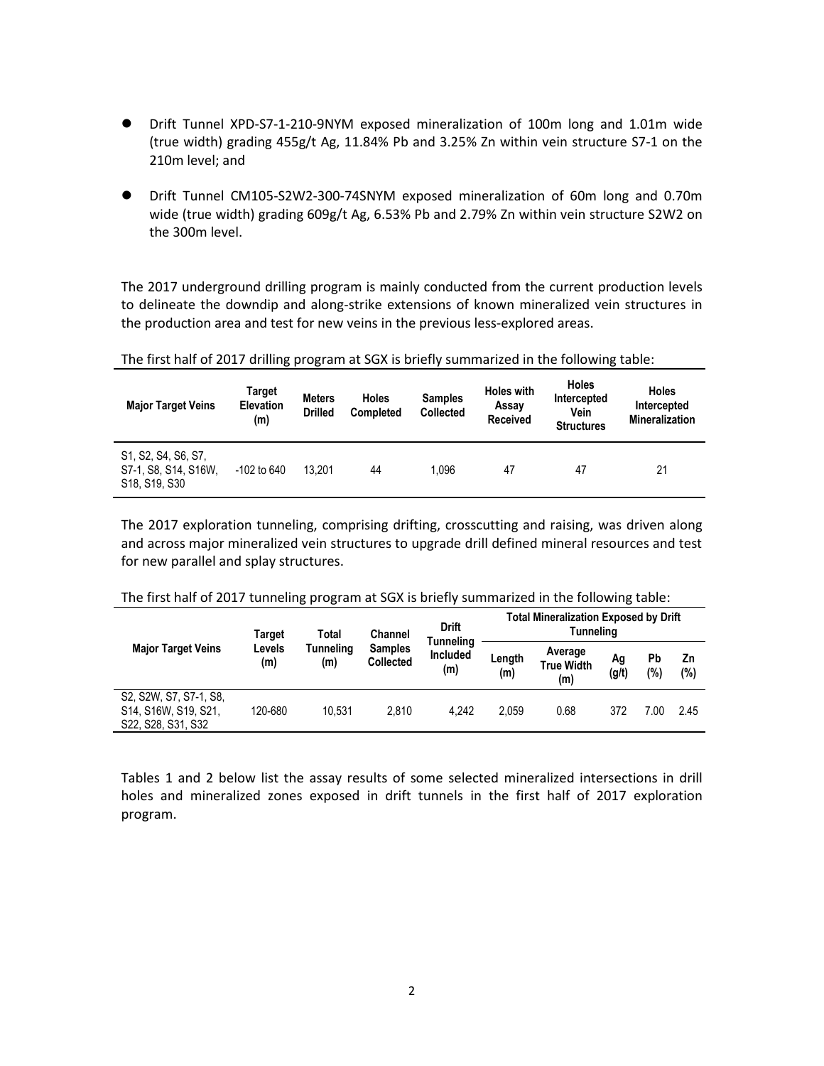- Drift Tunnel XPD-S7-1-210-9NYM exposed mineralization of 100m long and 1.01m wide (true width) grading 455g/t Ag, 11.84% Pb and 3.25% Zn within vein structure S7-1 on the 210m level; and
- Drift Tunnel CM105-S2W2-300-74SNYM exposed mineralization of 60m long and 0.70m wide (true width) grading 609g/t Ag, 6.53% Pb and 2.79% Zn within vein structure S2W2 on the 300m level.

The 2017 underground drilling program is mainly conducted from the current production levels to delineate the downdip and along-strike extensions of known mineralized vein structures in the production area and test for new veins in the previous less-explored areas.

| <b>Major Target Veins</b>                                                                          | Target<br><b>Elevation</b><br>(m) | <b>Meters</b><br><b>Drilled</b> | <b>Holes</b><br><b>Completed</b> | <b>Samples</b><br><b>Collected</b> | <b>Holes with</b><br>Assay<br><b>Received</b> | <b>Holes</b><br>Intercepted<br>Vein<br><b>Structures</b> | <b>Holes</b><br>Intercepted<br><b>Mineralization</b> |
|----------------------------------------------------------------------------------------------------|-----------------------------------|---------------------------------|----------------------------------|------------------------------------|-----------------------------------------------|----------------------------------------------------------|------------------------------------------------------|
| S1, S2, S4, S6, S7,<br>S7-1, S8, S14, S16W,<br>S <sub>18</sub> , S <sub>19</sub> , S <sub>30</sub> | $-102$ to 640                     | 13.201                          | 44                               | 1.096                              | 47                                            | 47                                                       | 21                                                   |

### The first half of 2017 drilling program at SGX is briefly summarized in the following table:

The 2017 exploration tunneling, comprising drifting, crosscutting and raising, was driven along and across major mineralized vein structures to upgrade drill defined mineral resources and test for new parallel and splay structures.

|                                                                      | Target        | Total            |                                    | <b>Drift</b><br>Tunneling | <b>Total Mineralization Exposed by Drift</b><br>Tunnelina |                                     |             |              |           |
|----------------------------------------------------------------------|---------------|------------------|------------------------------------|---------------------------|-----------------------------------------------------------|-------------------------------------|-------------|--------------|-----------|
| <b>Major Target Veins</b>                                            | Levels<br>(m) | Tunneling<br>(m) | <b>Samples</b><br><b>Collected</b> | Included<br>(m)           | Length<br>(m)                                             | Average<br><b>True Width</b><br>(m) | Ag<br>(g/t) | Pb<br>$(\%)$ | Zn<br>(%) |
| S2, S2W, S7, S7-1, S8,<br>S14, S16W, S19, S21,<br>S22, S28, S31, S32 | 120-680       | 10.531           | 2.810                              | 4.242                     | 2.059                                                     | 0.68                                | 372         | 7.00         | 2.45      |

Tables 1 and 2 below list the assay results of some selected mineralized intersections in drill holes and mineralized zones exposed in drift tunnels in the first half of 2017 exploration program.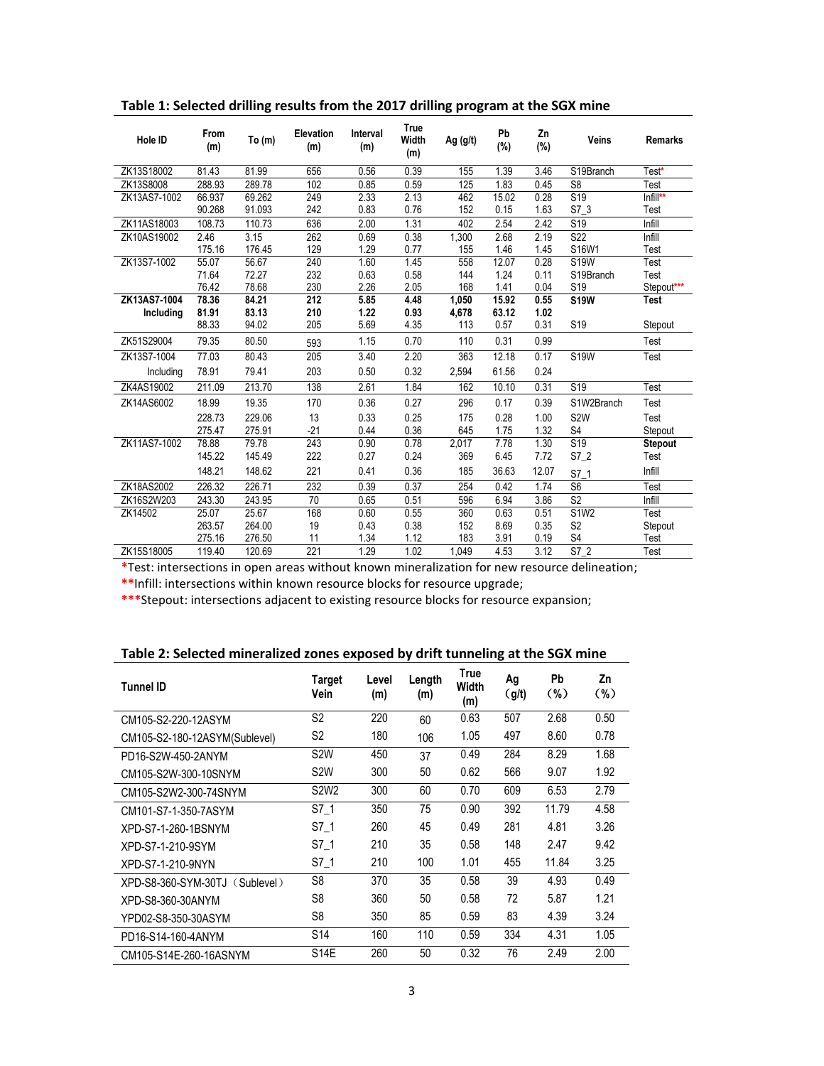| Hole ID      | From<br>(m) | To (m) | Elevation<br>(m) | Interval<br>(m) | True<br>Width<br>(m) | Ag $(g/t)$       | Pb<br>$(\%)$ | Zn<br>$(\%)$ | <b>Veins</b>           | <b>Remarks</b> |
|--------------|-------------|--------|------------------|-----------------|----------------------|------------------|--------------|--------------|------------------------|----------------|
| ZK13S18002   | 81.43       | 81.99  | 656              | 0.56            | 0.39                 | 155              | 1.39         | 3.46         | S19Branch              | Test*          |
| ZK13S8008    | 288.93      | 289.78 | 102              | 0.85            | 0.59                 | $\overline{125}$ | 1.83         | 0.45         | S <sub>8</sub>         | Test           |
| ZK13AS7-1002 | 66.937      | 69.262 | 249              | 2.33            | 2.13                 | 462              | 15.02        | 0.28         | $\overline{S19}$       | Infill**       |
|              | 90.268      | 91.093 | 242              | 0.83            | 0.76                 | 152              | 0.15         | 1.63         | S7 3                   | Test           |
| ZK11AS18003  | 108.73      | 110.73 | 636              | 2.00            | 1.31                 | 402              | 2.54         | 2.42         | S <sub>19</sub>        | Infill         |
| ZK10AS19002  | 2.46        | 3.15   | 262              | 0.69            | 0.38                 | 1,300            | 2.68         | 2.19         | $\overline{S22}$       | Infill         |
|              | 175.16      | 176.45 | 129              | 1.29            | 0.77                 | 155              | 1.46         | 1.45         | S16W1                  | Test           |
| ZK13S7-1002  | 55.07       | 56.67  | 240              | 1.60            | 1.45                 | 558              | 12.07        | 0.28         | <b>S19W</b>            | Test           |
|              | 71.64       | 72.27  | 232              | 0.63            | 0.58                 | 144              | 1.24         | 0.11         | S19Branch              | Test           |
|              | 76.42       | 78.68  | 230              | 2.26            | 2.05                 | 168              | 1.41         | 0.04         | S <sub>19</sub>        | Stepout***     |
| ZK13AS7-1004 | 78.36       | 84.21  | 212              | 5.85            | 4.48                 | 1,050            | 15.92        | 0.55         | <b>S19W</b>            | Test           |
| Including    | 81.91       | 83.13  | 210              | 1.22            | 0.93                 | 4,678            | 63.12        | 1.02         |                        |                |
|              | 88.33       | 94.02  | 205              | 5.69            | 4.35                 | 113              | 0.57         | 0.31         | S <sub>19</sub>        | Stepout        |
| ZK51S29004   | 79.35       | 80.50  | 593              | 1.15            | 0.70                 | 110              | 0.31         | 0.99         |                        | Test           |
| ZK13S7-1004  | 77.03       | 80.43  | 205              | 3.40            | 2.20                 | 363              | 12.18        | 0.17         | <b>S19W</b>            | Test           |
| Including    | 78.91       | 79.41  | 203              | 0.50            | 0.32                 | 2,594            | 61.56        | 0.24         |                        |                |
| ZK4AS19002   | 211.09      | 213.70 | 138              | 2.61            | 1.84                 | 162              | 10.10        | 0.31         | S <sub>19</sub>        | Test           |
| ZK14AS6002   | 18.99       | 19.35  | 170              | 0.36            | 0.27                 | 296              | 0.17         | 0.39         | S1W2Branch             | Test           |
|              | 228.73      | 229.06 | 13               | 0.33            | 0.25                 | 175              | 0.28         | 1.00         | S <sub>2</sub> W       | Test           |
|              | 275.47      | 275.91 | $-21$            | 0.44            | 0.36                 | 645              | 1.75         | 1.32         | S <sub>4</sub>         | Stepout        |
| ZK11AS7-1002 | 78.88       | 79.78  | 243              | 0.90            | 0.78                 | 2,017            | 7.78         | 1.30         | S19                    | <b>Stepout</b> |
|              | 145.22      | 145.49 | 222              | 0.27            | 0.24                 | 369              | 6.45         | 7.72         | $S7_2$                 | Test           |
|              | 148.21      | 148.62 | 221              | 0.41            | 0.36                 | 185              | 36.63        | 12.07        | S7 1                   | Infill         |
| ZK18AS2002   | 226.32      | 226.71 | 232              | 0.39            | 0.37                 | 254              | 0.42         | 1.74         | S6                     | Test           |
| ZK16S2W203   | 243.30      | 243.95 | 70               | 0.65            | 0.51                 | 596              | 6.94         | 3.86         | $\overline{\text{S2}}$ | Infill         |
| ZK14502      | 25.07       | 25.67  | 168              | 0.60            | 0.55                 | 360              | 0.63         | 0.51         | <b>S1W2</b>            | Test           |
|              | 263.57      | 264.00 | 19               | 0.43            | 0.38                 | 152              | 8.69         | 0.35         | S <sub>2</sub>         | Stepout        |
|              | 275.16      | 276.50 | 11               | 1.34            | 1.12                 | 183              | 3.91         | 0.19         | S <sub>4</sub>         | Test           |
| ZK15S18005   | 119.40      | 120.69 | 221              | 1.29            | 1.02                 | 1,049            | 4.53         | 3.12         | S7 <sub>2</sub>        | Test           |

# **Table 1: Selected drilling results from the 2017 drilling program at the SGX mine**

**\***Test: intersections in open areas without known mineralization for new resource delineation;

**\*\***Infill: intersections within known resource blocks for resource upgrade;

**\*\*\***Stepout: intersections adjacent to existing resource blocks for resource expansion;

# **Table 2: Selected mineralized zones exposed by drift tunneling at the SGX mine**

| <b>Tunnel ID</b>                  | Target<br>Vein   | Level<br>(m) | Length<br>(m) | True<br>Width<br>(m) | Ag<br>(g/t) | Pb<br>$(\%)$ | Zn<br>$(\% )$ |
|-----------------------------------|------------------|--------------|---------------|----------------------|-------------|--------------|---------------|
| CM105-S2-220-12ASYM               | S <sub>2</sub>   | 220          | 60            | 0.63                 | 507         | 2.68         | 0.50          |
| CM105-S2-180-12ASYM(Sublevel)     | S2               | 180          | 106           | 1.05                 | 497         | 8.60         | 0.78          |
| PD16-S2W-450-2ANYM                | S <sub>2</sub> W | 450          | 37            | 0.49                 | 284         | 8.29         | 1.68          |
| CM105-S2W-300-10SNYM              | S <sub>2</sub> W | 300          | 50            | 0.62                 | 566         | 9.07         | 1.92          |
| CM105-S2W2-300-74SNYM             | S2W <sub>2</sub> | 300          | 60            | 0.70                 | 609         | 6.53         | 2.79          |
| CM101-S7-1-350-7ASYM              | S7 1             | 350          | 75            | 0.90                 | 392         | 11.79        | 4.58          |
| XPD-S7-1-260-1BSNYM               | S7 1             | 260          | 45            | 0.49                 | 281         | 4.81         | 3.26          |
| XPD-S7-1-210-9SYM                 | S7 1             | 210          | 35            | 0.58                 | 148         | 2.47         | 9.42          |
| XPD-S7-1-210-9NYN                 | S7 1             | 210          | 100           | 1.01                 | 455         | 11.84        | 3.25          |
| XPD-S8-360-SYM-30TJ<br>(Sublevel) | S8               | 370          | 35            | 0.58                 | 39          | 4.93         | 0.49          |
| XPD-S8-360-30ANYM                 | S8               | 360          | 50            | 0.58                 | 72          | 5.87         | 1.21          |
| YPD02-S8-350-30ASYM               | S8               | 350          | 85            | 0.59                 | 83          | 4.39         | 3.24          |
| PD16-S14-160-4ANYM                | S <sub>14</sub>  | 160          | 110           | 0.59                 | 334         | 4.31         | 1.05          |
| CM105-S14E-260-16ASNYM            | <b>S14E</b>      | 260          | 50            | 0.32                 | 76          | 2.49         | 2.00          |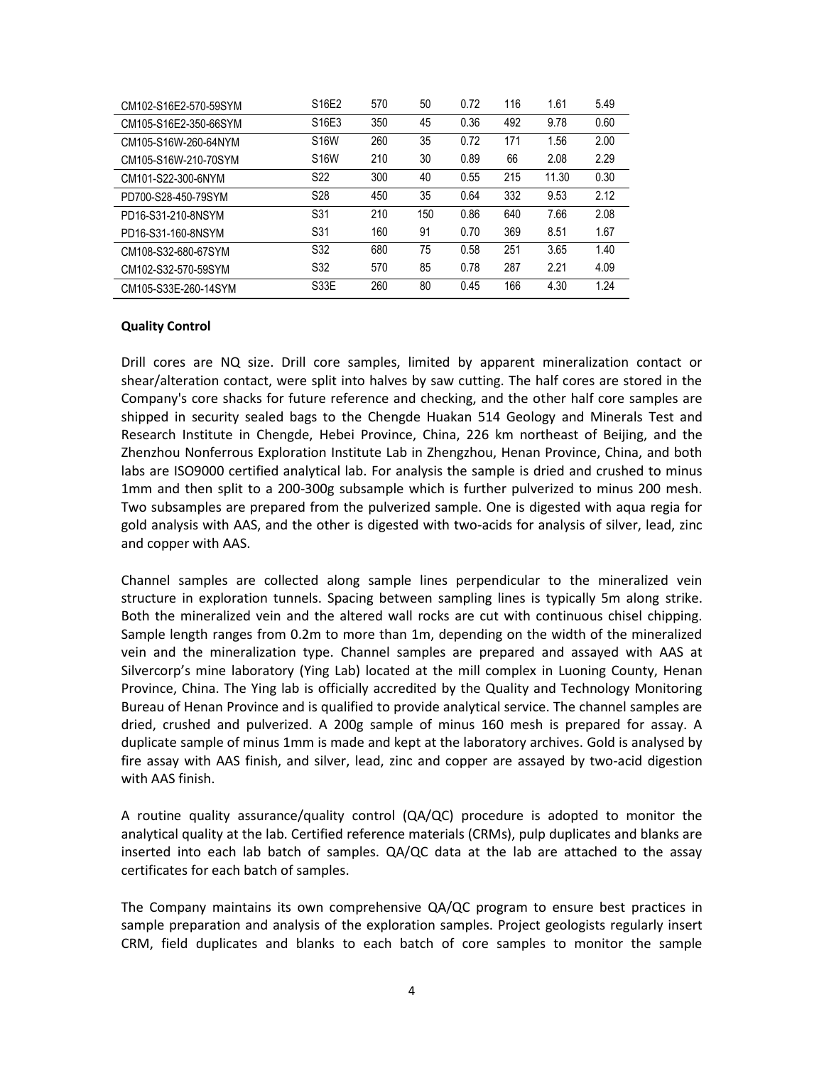| CM102-S16F2-570-59SYM | S16E2             | 570 | 50  | 0.72 | 116 | 1.61  | 5.49 |
|-----------------------|-------------------|-----|-----|------|-----|-------|------|
| CM105-S16F2-350-66SYM | S <sub>16E3</sub> | 350 | 45  | 0.36 | 492 | 9.78  | 0.60 |
| CM105-S16W-260-64NYM  | <b>S16W</b>       | 260 | 35  | 0.72 | 171 | 1.56  | 2.00 |
| CM105-S16W-210-70SYM  | <b>S16W</b>       | 210 | 30  | 0.89 | 66  | 2.08  | 2.29 |
| CM101-S22-300-6NYM    | S <sub>22</sub>   | 300 | 40  | 0.55 | 215 | 11.30 | 0.30 |
| PD700-S28-450-79SYM   | S <sub>28</sub>   | 450 | 35  | 0.64 | 332 | 9.53  | 2.12 |
| PD16-S31-210-8NSYM    | S31               | 210 | 150 | 0.86 | 640 | 7.66  | 2.08 |
| PD16-S31-160-8NSYM    | S31               | 160 | 91  | 0.70 | 369 | 8.51  | 1.67 |
| CM108-S32-680-67SYM   | S <sub>32</sub>   | 680 | 75  | 0.58 | 251 | 3.65  | 1.40 |
| CM102-S32-570-59SYM   | S32               | 570 | 85  | 0.78 | 287 | 2.21  | 4.09 |
| CM105-S33E-260-14SYM  | S33E              | 260 | 80  | 0.45 | 166 | 4.30  | 1.24 |

#### **Quality Control**

Drill cores are NQ size. Drill core samples, limited by apparent mineralization contact or shear/alteration contact, were split into halves by saw cutting. The half cores are stored in the Company's core shacks for future reference and checking, and the other half core samples are shipped in security sealed bags to the Chengde Huakan 514 Geology and Minerals Test and Research Institute in Chengde, Hebei Province, China, 226 km northeast of Beijing, and the Zhenzhou Nonferrous Exploration Institute Lab in Zhengzhou, Henan Province, China, and both labs are ISO9000 certified analytical lab. For analysis the sample is dried and crushed to minus 1mm and then split to a 200-300g subsample which is further pulverized to minus 200 mesh. Two subsamples are prepared from the pulverized sample. One is digested with aqua regia for gold analysis with AAS, and the other is digested with two-acids for analysis of silver, lead, zinc and copper with AAS.

Channel samples are collected along sample lines perpendicular to the mineralized vein structure in exploration tunnels. Spacing between sampling lines is typically 5m along strike. Both the mineralized vein and the altered wall rocks are cut with continuous chisel chipping. Sample length ranges from 0.2m to more than 1m, depending on the width of the mineralized vein and the mineralization type. Channel samples are prepared and assayed with AAS at Silvercorp's mine laboratory (Ying Lab) located at the mill complex in Luoning County, Henan Province, China. The Ying lab is officially accredited by the Quality and Technology Monitoring Bureau of Henan Province and is qualified to provide analytical service. The channel samples are dried, crushed and pulverized. A 200g sample of minus 160 mesh is prepared for assay. A duplicate sample of minus 1mm is made and kept at the laboratory archives. Gold is analysed by fire assay with AAS finish, and silver, lead, zinc and copper are assayed by two-acid digestion with AAS finish.

A routine quality assurance/quality control (QA/QC) procedure is adopted to monitor the analytical quality at the lab. Certified reference materials (CRMs), pulp duplicates and blanks are inserted into each lab batch of samples. QA/QC data at the lab are attached to the assay certificates for each batch of samples.

The Company maintains its own comprehensive QA/QC program to ensure best practices in sample preparation and analysis of the exploration samples. Project geologists regularly insert CRM, field duplicates and blanks to each batch of core samples to monitor the sample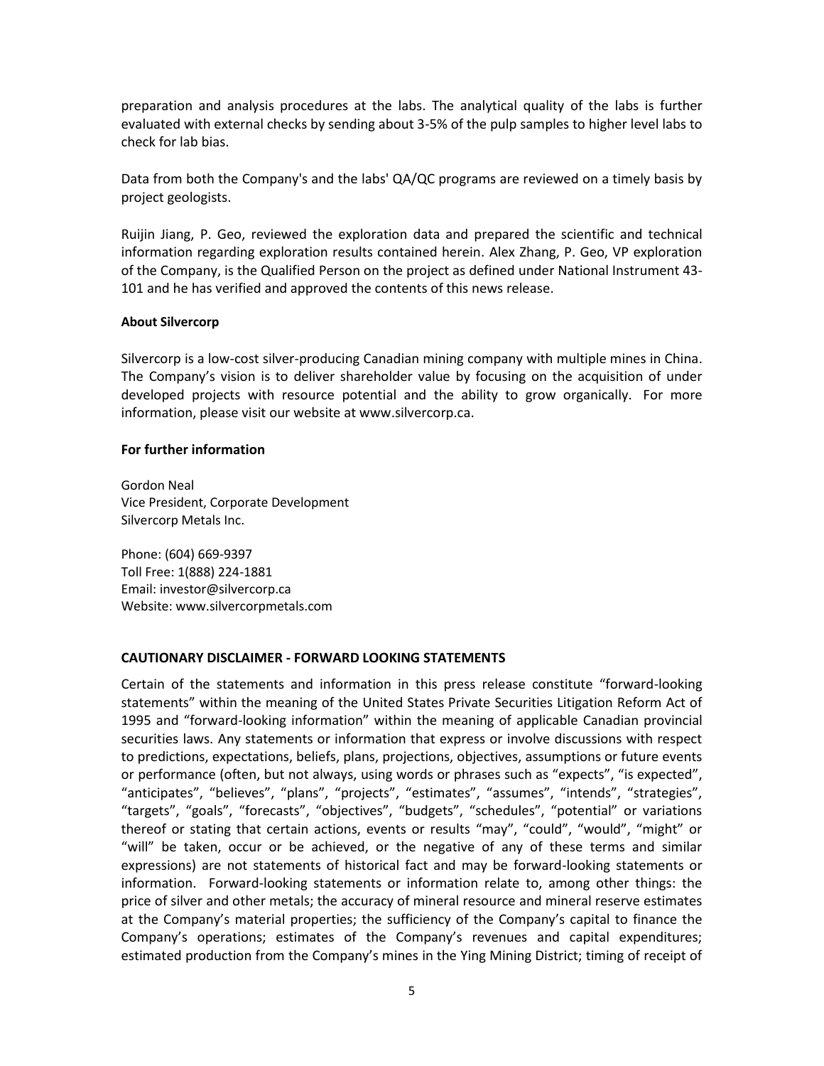preparation and analysis procedures at the labs. The analytical quality of the labs is further evaluated with external checks by sending about 3-5% of the pulp samples to higher level labs to check for lab bias.

Data from both the Company's and the labs' QA/QC programs are reviewed on a timely basis by project geologists.

Ruijin Jiang, P. Geo, reviewed the exploration data and prepared the scientific and technical information regarding exploration results contained herein. Alex Zhang, P. Geo, VP exploration of the Company, is the Qualified Person on the project as defined under National Instrument 43- 101 and he has verified and approved the contents of this news release.

### **About Silvercorp**

Silvercorp is a low-cost silver-producing Canadian mining company with multiple mines in China. The Company's vision is to deliver shareholder value by focusing on the acquisition of under developed projects with resource potential and the ability to grow organically. For more information, please visit our website at www.silvercorp.ca.

#### **For further information**

Gordon Neal Vice President, Corporate Development Silvercorp Metals Inc.

Phone: (604) 669-9397 Toll Free: 1(888) 224-1881 Email: investor@silvercorp.ca Website: www.silvercorpmetals.com

## **CAUTIONARY DISCLAIMER - FORWARD LOOKING STATEMENTS**

Certain of the statements and information in this press release constitute "forward-looking statements" within the meaning of the United States Private Securities Litigation Reform Act of 1995 and "forward-looking information" within the meaning of applicable Canadian provincial securities laws. Any statements or information that express or involve discussions with respect to predictions, expectations, beliefs, plans, projections, objectives, assumptions or future events or performance (often, but not always, using words or phrases such as "expects", "is expected", "anticipates", "believes", "plans", "projects", "estimates", "assumes", "intends", "strategies", "targets", "goals", "forecasts", "objectives", "budgets", "schedules", "potential" or variations thereof or stating that certain actions, events or results "may", "could", "would", "might" or "will" be taken, occur or be achieved, or the negative of any of these terms and similar expressions) are not statements of historical fact and may be forward-looking statements or information. Forward-looking statements or information relate to, among other things: the price of silver and other metals; the accuracy of mineral resource and mineral reserve estimates at the Company's material properties; the sufficiency of the Company's capital to finance the Company's operations; estimates of the Company's revenues and capital expenditures; estimated production from the Company's mines in the Ying Mining District; timing of receipt of